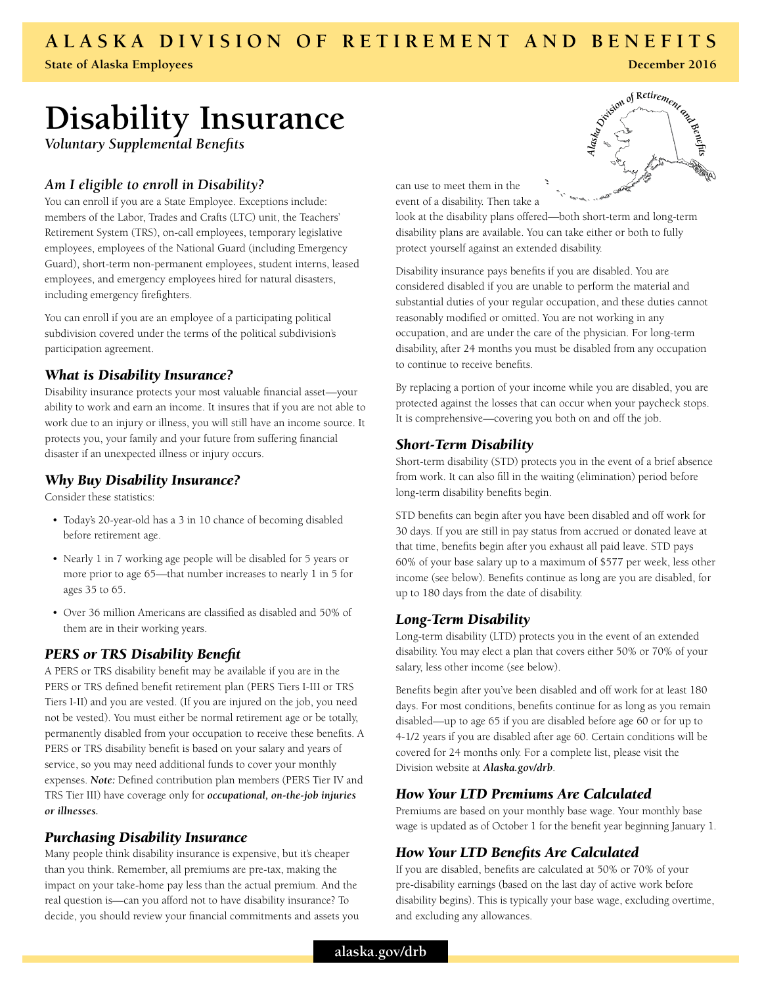## **ALASKA DIVISION OF RETIREMENT AND BENEFITS**

**State of Alaska Employees**

# **Disability Insurance**

*Voluntary Supplemental Benefits*

## *Am I eligible to enroll in Disability?*

You can enroll if you are a State Employee. Exceptions include: members of the Labor, Trades and Crafts (LTC) unit, the Teachers' Retirement System (TRS), on-call employees, temporary legislative employees, employees of the National Guard (including Emergency Guard), short-term non-permanent employees, student interns, leased employees, and emergency employees hired for natural disasters, including emergency firefighters.

You can enroll if you are an employee of a participating political subdivision covered under the terms of the political subdivision's participation agreement.

#### *What is Disability Insurance?*

Disability insurance protects your most valuable financial asset—your ability to work and earn an income. It insures that if you are not able to work due to an injury or illness, you will still have an income source. It protects you, your family and your future from suffering financial disaster if an unexpected illness or injury occurs.

#### *Why Buy Disability Insurance?*

Consider these statistics:

- Today's 20-year-old has a 3 in 10 chance of becoming disabled before retirement age.
- Nearly 1 in 7 working age people will be disabled for 5 years or more prior to age 65—that number increases to nearly 1 in 5 for ages 35 to 65.
- Over 36 million Americans are classified as disabled and 50% of them are in their working years.

#### *PERS or TRS Disability Benefit*

A PERS or TRS disability benefit may be available if you are in the PERS or TRS defined benefit retirement plan (PERS Tiers I-III or TRS Tiers I-II) and you are vested. (If you are injured on the job, you need not be vested). You must either be normal retirement age or be totally, permanently disabled from your occupation to receive these benefits. A PERS or TRS disability benefit is based on your salary and years of service, so you may need additional funds to cover your monthly expenses. *Note:* Defined contribution plan members (PERS Tier IV and TRS Tier III) have coverage only for *occupational, on-the-job injuries or illnesses.*

#### *Purchasing Disability Insurance*

Many people think disability insurance is expensive, but it's cheaper than you think. Remember, all premiums are pre-tax, making the impact on your take-home pay less than the actual premium. And the real question is—can you afford not to have disability insurance? To decide, you should review your financial commitments and assets you



**December 2016**

can use to meet them in the event of a disability. Then take a

look at the disability plans offered—both short-term and long-term disability plans are available. You can take either or both to fully protect yourself against an extended disability.

Disability insurance pays benefits if you are disabled. You are considered disabled if you are unable to perform the material and substantial duties of your regular occupation, and these duties cannot reasonably modified or omitted. You are not working in any occupation, and are under the care of the physician. For long-term disability, after 24 months you must be disabled from any occupation to continue to receive benefits.

By replacing a portion of your income while you are disabled, you are protected against the losses that can occur when your paycheck stops. It is comprehensive—covering you both on and off the job.

#### *Short-Term Disability*

Short-term disability (STD) protects you in the event of a brief absence from work. It can also fill in the waiting (elimination) period before long-term disability benefits begin.

STD benefits can begin after you have been disabled and off work for 30 days. If you are still in pay status from accrued or donated leave at that time, benefits begin after you exhaust all paid leave. STD pays 60% of your base salary up to a maximum of \$577 per week, less other income (see below). Benefits continue as long are you are disabled, for up to 180 days from the date of disability.

#### *Long-Term Disability*

Long-term disability (LTD) protects you in the event of an extended disability. You may elect a plan that covers either 50% or 70% of your salary, less other income (see below).

Benefits begin after you've been disabled and off work for at least 180 days. For most conditions, benefits continue for as long as you remain disabled—up to age 65 if you are disabled before age 60 or for up to 4-1/2 years if you are disabled after age 60. Certain conditions will be covered for 24 months only. For a complete list, please visit the Division website at *Alaska.gov/drb*.

#### *How Your LTD Premiums Are Calculated*

Premiums are based on your monthly base wage. Your monthly base wage is updated as of October 1 for the benefit year beginning January 1.

## *How Your LTD Benefits Are Calculated*

If you are disabled, benefits are calculated at 50% or 70% of your pre-disability earnings (based on the last day of active work before disability begins). This is typically your base wage, excluding overtime, and excluding any allowances.